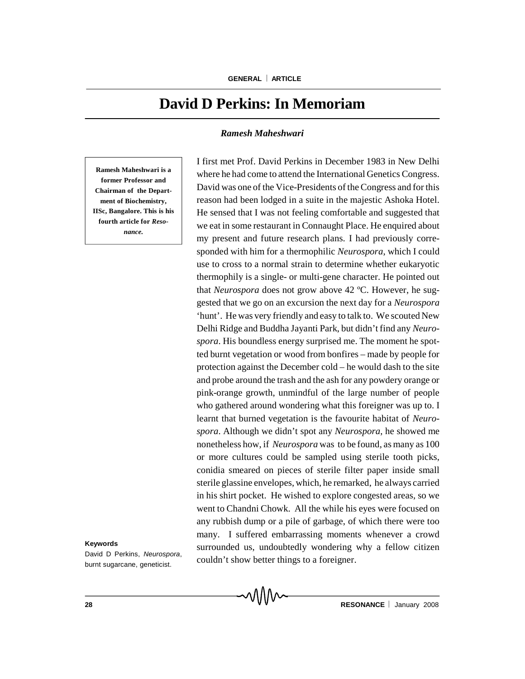# **David D Perkins: In Memoriam**

## *Ramesh Maheshwari*

**Ramesh Maheshwari is a former Professor and Chairman of the Department of Biochemistry, IISc, Bangalore. This is his fourth article for** *Resonance.*

**Keywords**

David D Perkins, *Neurospora*, burnt sugarcane, geneticist.

I first met Prof. David Perkins in December 1983 in New Delhi where he had come to attend the International Genetics Congress. David was one of the Vice-Presidents of the Congress and for this reason had been lodged in a suite in the majestic Ashoka Hotel. He sensed that I was not feeling comfortable and suggested that we eat in some restaurant in Connaught Place. He enquired about my present and future research plans. I had previously corresponded with him for a thermophilic *Neurospora*, which I could use to cross to a normal strain to determine whether eukaryotic thermophily is a single- or multi-gene character. He pointed out that *Neurospora* does not grow above 42 ºC. However, he suggested that we go on an excursion the next day for a *Neurospora* 'hunt'. He was very friendly and easy to talk to. We scouted New Delhi Ridge and Buddha Jayanti Park, but didn't find any *Neurospora*. His boundless energy surprised me. The moment he spotted burnt vegetation or wood from bonfires – made by people for protection against the December cold – he would dash to the site and probe around the trash and the ash for any powdery orange or pink-orange growth, unmindful of the large number of people who gathered around wondering what this foreigner was up to. I learnt that burned vegetation is the favourite habitat of *Neurospora*. Although we didn't spot any *Neurospora*, he showed me nonetheless how, if *Neurospora* was to be found, as many as 100 or more cultures could be sampled using sterile tooth picks, conidia smeared on pieces of sterile filter paper inside small sterile glassine envelopes, which, he remarked, he always carried in his shirt pocket. He wished to explore congested areas, so we went to Chandni Chowk. All the while his eyes were focused on any rubbish dump or a pile of garbage, of which there were too many. I suffered embarrassing moments whenever a crowd surrounded us, undoubtedly wondering why a fellow citizen couldn't show better things to a foreigner.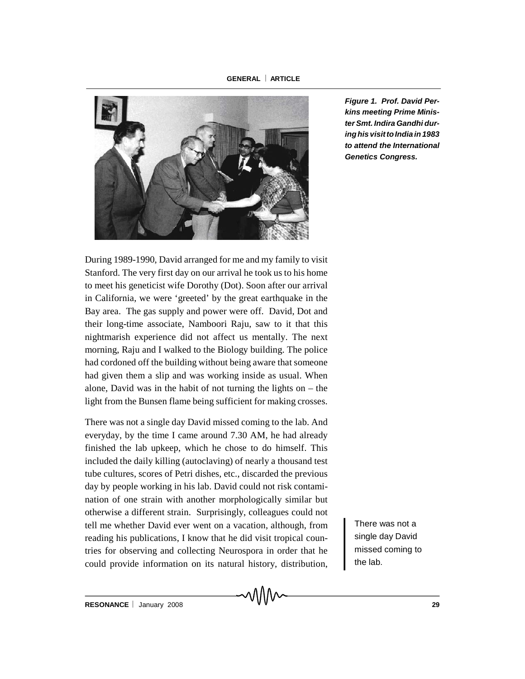**GENERAL ARTICLE**



During 1989-1990, David arranged for me and my family to visit Stanford. The very first day on our arrival he took us to his home to meet his geneticist wife Dorothy (Dot). Soon after our arrival in California, we were 'greeted' by the great earthquake in the Bay area. The gas supply and power were off. David, Dot and their long-time associate, Namboori Raju, saw to it that this nightmarish experience did not affect us mentally. The next morning, Raju and I walked to the Biology building. The police had cordoned off the building without being aware that someone had given them a slip and was working inside as usual. When alone, David was in the habit of not turning the lights on – the light from the Bunsen flame being sufficient for making crosses.

There was not a single day David missed coming to the lab. And everyday, by the time I came around 7.30 AM, he had already finished the lab upkeep, which he chose to do himself. This included the daily killing (autoclaving) of nearly a thousand test tube cultures, scores of Petri dishes, etc., discarded the previous day by people working in his lab. David could not risk contamination of one strain with another morphologically similar but otherwise a different strain. Surprisingly, colleagues could not tell me whether David ever went on a vacation, although, from reading his publications, I know that he did visit tropical countries for observing and collecting Neurospora in order that he could provide information on its natural history, distribution, *Figure 1. Prof. David Perkins meeting Prime Minister Smt. Indira Gandhi during his visitto India in 1983 to attend the International Genetics Congress.*

There was not a single day David missed coming to the lab.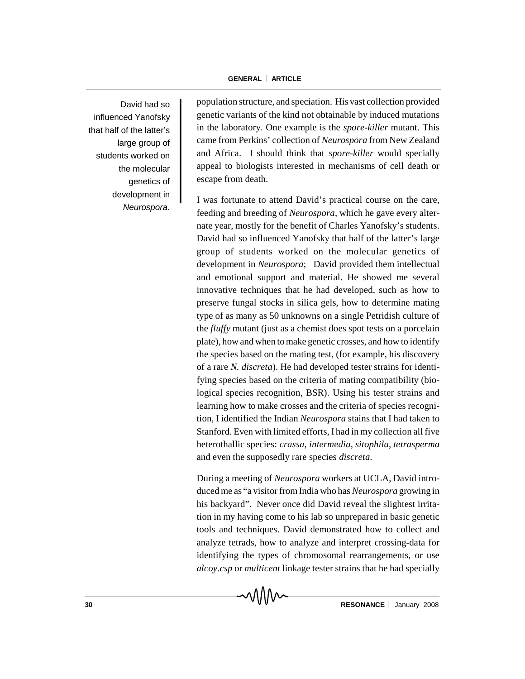David had so influenced Yanofsky that half of the latter's large group of students worked on the molecular genetics of development in *Neurospora*.

population structure, and speciation. His vast collection provided genetic variants of the kind not obtainable by induced mutations in the laboratory. One example is the *spore-killer* mutant. This came from Perkins' collection of *Neurospora* from New Zealand and Africa. I should think that *spore-killer* would specially appeal to biologists interested in mechanisms of cell death or escape from death.

I was fortunate to attend David's practical course on the care, feeding and breeding of *Neurospora*, which he gave every alternate year, mostly for the benefit of Charles Yanofsky's students. David had so influenced Yanofsky that half of the latter's large group of students worked on the molecular genetics of development in *Neurospora*; David provided them intellectual and emotional support and material. He showed me several innovative techniques that he had developed, such as how to preserve fungal stocks in silica gels, how to determine mating type of as many as 50 unknowns on a single Petridish culture of the *fluffy* mutant (just as a chemist does spot tests on a porcelain plate), how and when to make genetic crosses, and how to identify the species based on the mating test, (for example, his discovery of a rare *N. discreta*). He had developed tester strains for identifying species based on the criteria of mating compatibility (biological species recognition, BSR). Using his tester strains and learning how to make crosses and the criteria of species recognition, I identified the Indian *Neurospora* stains that I had taken to Stanford. Even with limited efforts, I had in my collection all five heterothallic species: *crassa*, *intermedia*, *sitophila*, *tetrasperma* and even the supposedly rare species *discreta*.

During a meeting of *Neurospora* workers at UCLA, David introduced me as "a visitor from India who has *Neurospora* growing in his backyard". Never once did David reveal the slightest irritation in my having come to his lab so unprepared in basic genetic tools and techniques. David demonstrated how to collect and analyze tetrads, how to analyze and interpret crossing-data for identifying the types of chromosomal rearrangements, or use *alcoy*.*csp* or *multicent* linkage tester strains that he had specially

MMM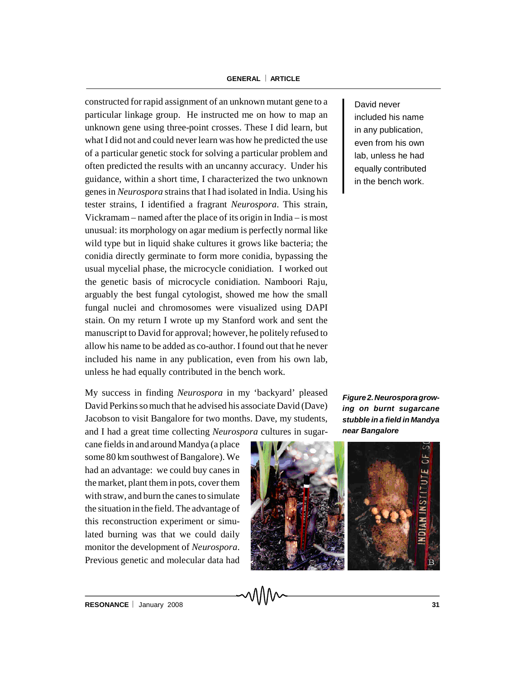## **GENERAL ARTICLE**

constructed for rapid assignment of an unknown mutant gene to a particular linkage group. He instructed me on how to map an unknown gene using three-point crosses. These I did learn, but what I did not and could never learn was how he predicted the use of a particular genetic stock for solving a particular problem and often predicted the results with an uncanny accuracy. Under his guidance, within a short time, I characterized the two unknown genes in *Neurospora* strains that I had isolated in India. Using his tester strains, I identified a fragrant *Neurospora*. This strain, Vickramam – named after the place of its origin in India – is most unusual: its morphology on agar medium is perfectly normal like wild type but in liquid shake cultures it grows like bacteria; the conidia directly germinate to form more conidia, bypassing the usual mycelial phase, the microcycle conidiation. I worked out the genetic basis of microcycle conidiation. Namboori Raju, arguably the best fungal cytologist, showed me how the small fungal nuclei and chromosomes were visualized using DAPI stain. On my return I wrote up my Stanford work and sent the manuscript to David for approval; however, he politely refused to allow his name to be added as co-author. I found out that he never included his name in any publication, even from his own lab, unless he had equally contributed in the bench work.

My success in finding *Neurospora* in my 'backyard' pleased David Perkins so much that he advised his associate David (Dave) Jacobson to visit Bangalore for two months. Dave, my students, and I had a great time collecting *Neurospora* cultures in sugar-

cane fields in and around Mandya (a place some 80 km southwest of Bangalore). We had an advantage: we could buy canes in the market, plant them in pots, cover them with straw, and burn the canes to simulate the situation in the field. The advantage of this reconstruction experiment or simulated burning was that we could daily monitor the development of *Neurospora*. Previous genetic and molecular data had

David never included his name in any publication, even from his own lab, unless he had equally contributed in the bench work.

*Figure2.Neurosporagrowing on burnt sugarcane stubble in a field in Mandya near Bangalore*

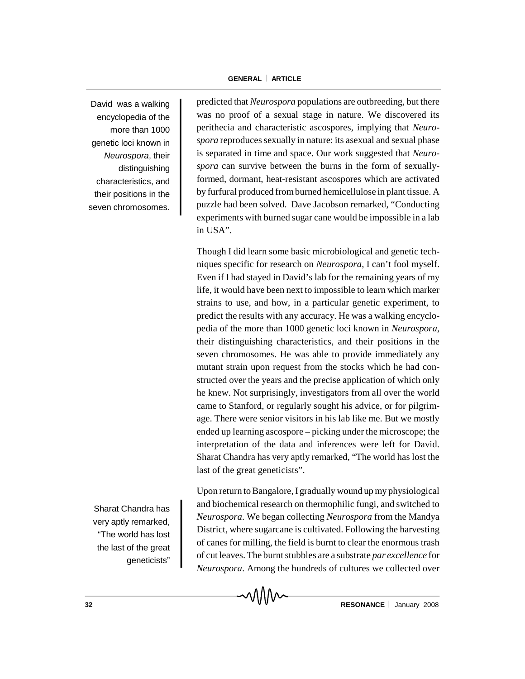David was a walking encyclopedia of the more than 1000 genetic loci known in *Neurospora*, their distinguishing characteristics, and their positions in the seven chromosomes.

predicted that *Neurospora* populations are outbreeding, but there was no proof of a sexual stage in nature. We discovered its perithecia and characteristic ascospores, implying that *Neurospora* reproduces sexually in nature: its asexual and sexual phase is separated in time and space. Our work suggested that *Neurospora* can survive between the burns in the form of sexuallyformed, dormant, heat-resistant ascospores which are activated by furfural produced from burned hemicellulose in plant tissue. A puzzle had been solved. Dave Jacobson remarked, "Conducting experiments with burned sugar cane would be impossible in a lab in USA".

Though I did learn some basic microbiological and genetic techniques specific for research on *Neurospora*, I can't fool myself. Even if I had stayed in David's lab for the remaining years of my life, it would have been next to impossible to learn which marker strains to use, and how, in a particular genetic experiment, to predict the results with any accuracy. He was a walking encyclopedia of the more than 1000 genetic loci known in *Neurospora*, their distinguishing characteristics, and their positions in the seven chromosomes. He was able to provide immediately any mutant strain upon request from the stocks which he had constructed over the years and the precise application of which only he knew. Not surprisingly, investigators from all over the world came to Stanford, or regularly sought his advice, or for pilgrimage. There were senior visitors in his lab like me. But we mostly ended up learning ascospore – picking under the microscope; the interpretation of the data and inferences were left for David. Sharat Chandra has very aptly remarked, "The world has lost the last of the great geneticists".

Upon return to Bangalore, I gradually wound up my physiological and biochemical research on thermophilic fungi, and switched to *Neurospora*. We began collecting *Neurospora* from the Mandya District, where sugarcane is cultivated. Following the harvesting of canes for milling, the field is burnt to clear the enormous trash of cut leaves. The burnt stubbles are a substrate *par excellence* for *Neurospora*. Among the hundreds of cultures we collected over

Sharat Chandra has very aptly remarked, "The world has lost the last of the great geneticists"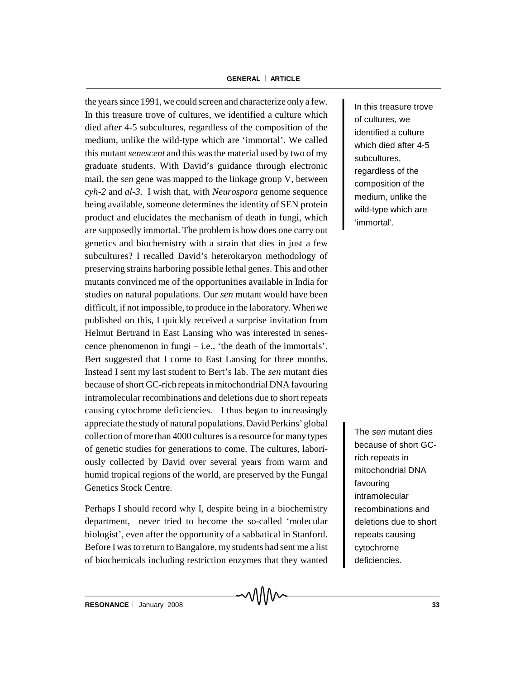### **GENERAL ARTICLE**

the years since 1991, we could screen and characterize only a few. In this treasure trove of cultures, we identified a culture which died after 4-5 subcultures, regardless of the composition of the medium, unlike the wild-type which are 'immortal'. We called this mutant*senescent* and this was the material used by two of my graduate students. With David's guidance through electronic mail, the *sen* gene was mapped to the linkage group V, between *cyh-2* and *al-3*. I wish that, with *Neurospora* genome sequence being available, someone determines the identity of SEN protein product and elucidates the mechanism of death in fungi, which are supposedly immortal. The problem is how does one carry out genetics and biochemistry with a strain that dies in just a few subcultures? I recalled David's heterokaryon methodology of preserving strains harboring possible lethal genes. This and other mutants convinced me of the opportunities available in India for studies on natural populations. Our *sen* mutant would have been difficult, if not impossible, to produce in the laboratory. When we published on this, I quickly received a surprise invitation from Helmut Bertrand in East Lansing who was interested in senescence phenomenon in fungi – i.e., 'the death of the immortals'. Bert suggested that I come to East Lansing for three months. Instead I sent my last student to Bert's lab. The *sen* mutant dies because of short GC-rich repeats in mitochondrial DNA favouring intramolecular recombinations and deletions due to short repeats causing cytochrome deficiencies. I thus began to increasingly appreciate the study of natural populations. David Perkins' global collection of more than 4000 cultures is a resource for many types of genetic studies for generations to come. The cultures, laboriously collected by David over several years from warm and humid tropical regions of the world, are preserved by the Fungal Genetics Stock Centre.

Perhaps I should record why I, despite being in a biochemistry department, never tried to become the so-called 'molecular biologist', even after the opportunity of a sabbatical in Stanford. Before I was to return to Bangalore, my students had sent me a list of biochemicals including restriction enzymes that they wanted

MMM

In this treasure trove of cultures, we identified a culture which died after 4-5 subcultures, regardless of the composition of the medium, unlike the wild-type which are 'immortal'.

The *sen* mutant dies because of short GCrich repeats in mitochondrial DNA favouring intramolecular recombinations and deletions due to short repeats causing cytochrome deficiencies.